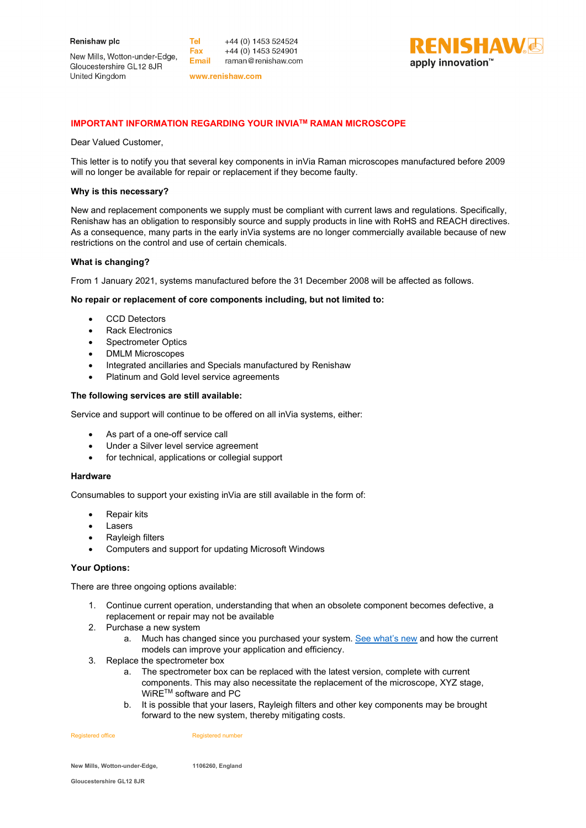New Mills, Wotton-under-Edge, Gloucestershire GL12 8JR United Kingdom

**Tel** +44 (0) 1453 524524 Fax +44 (0) 1453 524901 Email raman@renishaw.com

www.renishaw.com



# **IMPORTANT INFORMATION REGARDING YOUR INVIATM RAMAN MICROSCOPE**

Dear Valued Customer,

This letter is to notify you that several key components in inVia Raman microscopes manufactured before 2009 will no longer be available for repair or replacement if they become faulty.

### **Why is this necessary?**

New and replacement components we supply must be compliant with current laws and regulations. Specifically, Renishaw has an obligation to responsibly source and supply products in line with RoHS and REACH directives. As a consequence, many parts in the early inVia systems are no longer commercially available because of new restrictions on the control and use of certain chemicals.

## **What is changing?**

From 1 January 2021, systems manufactured before the 31 December 2008 will be affected as follows.

#### **No repair or replacement of core components including, but not limited to:**

- CCD Detectors
- **Rack Electronics**
- Spectrometer Optics
- DMLM Microscopes
- Integrated ancillaries and Specials manufactured by Renishaw
- Platinum and Gold level service agreements

#### **The following services are still available:**

Service and support will continue to be offered on all inVia systems, either:

- As part of a one-off service call
- Under a Silver level service agreement
- for technical, applications or collegial support

#### **Hardware**

Consumables to support your existing inVia are still available in the form of:

- Repair kits
- **Lasers**
- Rayleigh filters
- Computers and support for updating Microsoft Windows

#### **Your Options:**

There are three ongoing options available:

- 1. Continue current operation, understanding that when an obsolete component becomes defective, a replacement or repair may not be available
- 2. Purchase a new system
	- a. Much has changed since you purchased your system. [See what's new](https://www.renishaw.com/en/invia-confocal-raman-microscope--6260) and how the current models can improve your application and efficiency.
- 3. Replace the spectrometer box
	- a. The spectrometer box can be replaced with the latest version, complete with current components. This may also necessitate the replacement of the microscope, XYZ stage, WiRE<sup>™</sup> software and PC
	- b. It is possible that your lasers, Rayleigh filters and other key components may be brought forward to the new system, thereby mitigating costs.

Registered office **Registered number** Registered number

**New Mills, Wotton-under-Edge, 1106260, England**